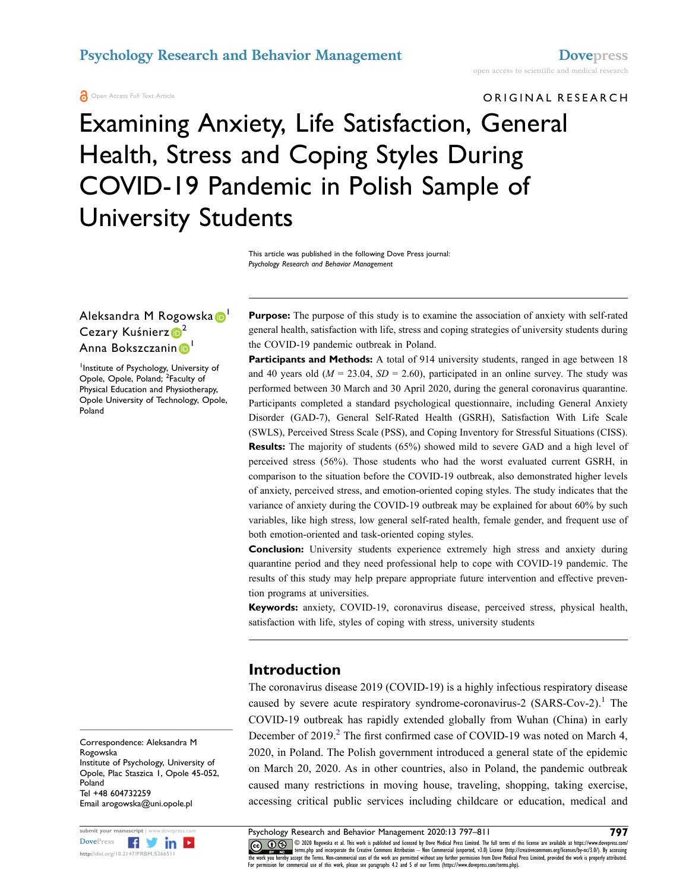### **Psychology Research and Behavior Management <b>[Dovepress](http://www.dovepress.com)**

**A** Open Access Full Text Article

# ORIGINAL RESEARCH Examining Anxiety, Life Satisfaction, General Health, Stress and Coping Styles During COVID-19 Pandemic in Polish Sample of University Students

This article was published in the following Dove Press journal: *Psychology Research and Behavior Management*

### Aleksandra M Rogowska D' Cezary Kuśnierz<sup>D[2](#page-0-1)</sup> Anna Bokszczanin D

<span id="page-0-1"></span><span id="page-0-0"></span>1 Institute of Psychology, University of Opole, Opole, Poland; <sup>2</sup>Faculty of Physical Education and Physiotherapy, Opole University of Technology, Opole, Poland

Purpose: The purpose of this study is to examine the association of anxiety with self-rated general health, satisfaction with life, stress and coping strategies of university students during the COVID-19 pandemic outbreak in Poland.

Participants and Methods: A total of 914 university students, ranged in age between 18 and 40 years old ( $M = 23.04$ ,  $SD = 2.60$ ), participated in an online survey. The study was performed between 30 March and 30 April 2020, during the general coronavirus quarantine. Participants completed a standard psychological questionnaire, including General Anxiety Disorder (GAD-7), General Self-Rated Health (GSRH), Satisfaction With Life Scale (SWLS), Perceived Stress Scale (PSS), and Coping Inventory for Stressful Situations (CISS). **Results:** The majority of students (65%) showed mild to severe GAD and a high level of perceived stress (56%). Those students who had the worst evaluated current GSRH, in comparison to the situation before the COVID-19 outbreak, also demonstrated higher levels of anxiety, perceived stress, and emotion-oriented coping styles. The study indicates that the variance of anxiety during the COVID-19 outbreak may be explained for about 60% by such variables, like high stress, low general self-rated health, female gender, and frequent use of both emotion-oriented and task-oriented coping styles.

**Conclusion:** University students experience extremely high stress and anxiety during quarantine period and they need professional help to cope with COVID-19 pandemic. The results of this study may help prepare appropriate future intervention and effective prevention programs at universities.

**Keywords:** anxiety, COVID-19, coronavirus disease, perceived stress, physical health, satisfaction with life, styles of coping with stress, university students

# **Introduction**

<span id="page-0-3"></span><span id="page-0-2"></span>The coronavirus disease 2019 (COVID-19) is a highly infectious respiratory disease caused by severe acute respiratory syndrome-coronavirus-2 (SARS-Cov-2).<sup>1</sup> The COVID-19 outbreak has rapidly extended globally from Wuhan (China) in early December of [2](#page-12-1)019.<sup>2</sup> The first confirmed case of COVID-19 was noted on March 4, 2020, in Poland. The Polish government introduced a general state of the epidemic on March 20, 2020. As in other countries, also in Poland, the pandemic outbreak caused many restrictions in moving house, traveling, shopping, taking exercise, accessing critical public services including childcare or education, medical and

Correspondence: Aleksandra M Rogowska Institute of Psychology, University of Opole, Plac Staszica 1, Opole 45-052, Poland Tel +48 604732259 Email [arogowska@uni.opole.pl](mailto:arogowska@uni.opole.pl)



**Submit your manuscript | www.dovepress.com Psychology Research and Behavior Management 2020:13 797–811 797<br>DovePress <b>Figure 1997 1997 CCC O S** 2020 Regearch and Behavior Management 2020:13 797–811 **1998 1999 CO D**  $\circledast$  © 2020 Rogowska et al. This work is published and licensed by Dove Medical Press Limited. The full terms of this license are available at https://www.dovepress.com/ www.giventerms.php and incorporate the Creative Commons Attribution — Non Commercial (unported, v3.0) License (http://creativecommons.org/licenses/by-nc/3.0/). By accessing<br>the work you hereby accept the Terms. Non-commerc For permission for commercial use of this work, please see paragraphs 4.2 and 5 of our Terms (https://www.dovepress.com/terms.php).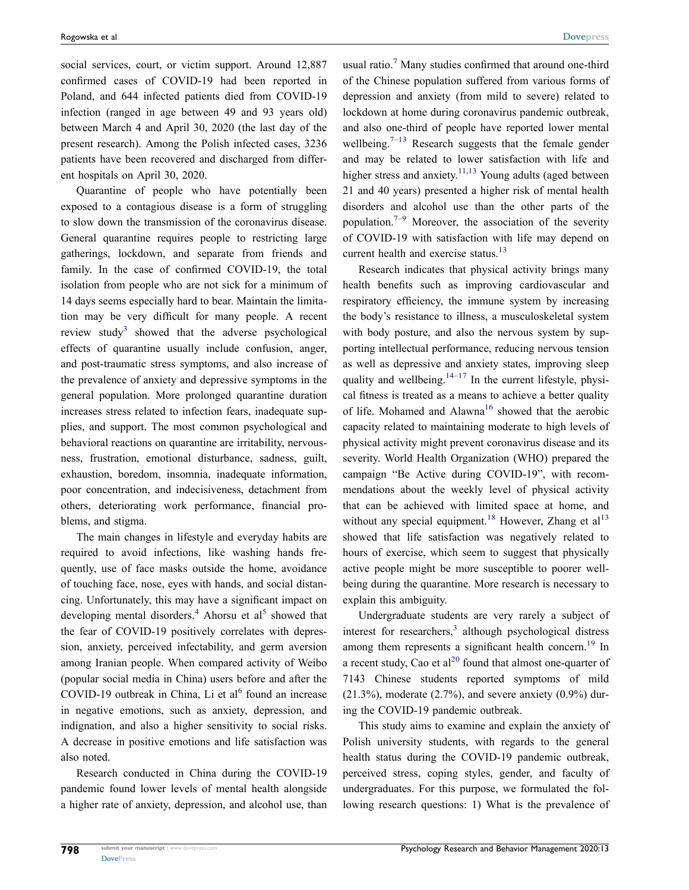social services, court, or victim support. Around 12,887 confirmed cases of COVID-19 had been reported in Poland, and 644 infected patients died from COVID-19 infection (ranged in age between 49 and 93 years old) between March 4 and April 30, 2020 (the last day of the present research). Among the Polish infected cases, 3236 patients have been recovered and discharged from different hospitals on April 30, 2020.

Quarantine of people who have potentially been exposed to a contagious disease is a form of struggling to slow down the transmission of the coronavirus disease. General quarantine requires people to restricting large gatherings, lockdown, and separate from friends and family. In the case of confirmed COVID-19, the total isolation from people who are not sick for a minimum of 14 days seems especially hard to bear. Maintain the limitation may be very difficult for many people. A recent review study<sup>[3](#page-12-2)</sup> showed that the adverse psychological effects of quarantine usually include confusion, anger, and post-traumatic stress symptoms, and also increase of the prevalence of anxiety and depressive symptoms in the general population. More prolonged quarantine duration increases stress related to infection fears, inadequate supplies, and support. The most common psychological and behavioral reactions on quarantine are irritability, nervousness, frustration, emotional disturbance, sadness, guilt, exhaustion, boredom, insomnia, inadequate information, poor concentration, and indecisiveness, detachment from others, deteriorating work performance, financial problems, and stigma.

<span id="page-1-1"></span>The main changes in lifestyle and everyday habits are required to avoid infections, like washing hands frequently, use of face masks outside the home, avoidance of touching face, nose, eyes with hands, and social distancing. Unfortunately, this may have a significant impact on developing mental disorders.<sup>4</sup> Ahorsu et al<sup>5</sup> showed that the fear of COVID-19 positively correlates with depression, anxiety, perceived infectability, and germ aversion among Iranian people. When compared activity of Weibo (popular social media in China) users before and after the COVID-19 outbreak in China, Li et al<sup>[6](#page-12-5)</sup> found an increase in negative emotions, such as anxiety, depression, and indignation, and also a higher sensitivity to social risks. A decrease in positive emotions and life satisfaction was also noted.

<span id="page-1-2"></span>Research conducted in China during the COVID-19 pandemic found lower levels of mental health alongside a higher rate of anxiety, depression, and alcohol use, than

usual ratio.<sup>[7](#page-13-0)</sup> Many studies confirmed that around one-third of the Chinese population suffered from various forms of depression and anxiety (from mild to severe) related to lockdown at home during coronavirus pandemic outbreak, and also one-third of people have reported lower mental wellbeing.<sup>[7](#page-13-0)–13</sup> Research suggests that the female gender and may be related to lower satisfaction with life and higher stress and anxiety.<sup>[11](#page-13-2),13</sup> Young adults (aged between 21 and 40 years) presented a higher risk of mental health disorders and alcohol use than the other parts of the population.<sup>7–[9](#page-13-3)</sup> Moreover, the association of the severity of COVID-19 with satisfaction with life may depend on current health and exercise status.<sup>[13](#page-13-1)</sup>

<span id="page-1-7"></span><span id="page-1-6"></span><span id="page-1-4"></span><span id="page-1-3"></span>Research indicates that physical activity brings many health benefits such as improving cardiovascular and respiratory efficiency, the immune system by increasing the body's resistance to illness, a musculoskeletal system with body posture, and also the nervous system by supporting intellectual performance, reducing nervous tension as well as depressive and anxiety states, improving sleep quality and wellbeing. $14-17$  In the current lifestyle, physical fitness is treated as a means to achieve a better quality of life. Mohamed and Alawna<sup>[16](#page-13-6)</sup> showed that the aerobic capacity related to maintaining moderate to high levels of physical activity might prevent coronavirus disease and its severity. World Health Organization (WHO) prepared the campaign "Be Active during COVID-19", with recommendations about the weekly level of physical activity that can be achieved with limited space at home, and without any special equipment.<sup>18</sup> However, Zhang et al<sup>[13](#page-13-1)</sup> showed that life satisfaction was negatively related to hours of exercise, which seem to suggest that physically active people might be more susceptible to poorer wellbeing during the quarantine. More research is necessary to explain this ambiguity.

<span id="page-1-9"></span><span id="page-1-8"></span><span id="page-1-5"></span><span id="page-1-0"></span>Undergraduate students are very rarely a subject of interest for researchers,<sup>3</sup> although psychological distress among them represents a significant health concern.<sup>[19](#page-13-8)</sup> In a recent study, Cao et  $al^{20}$  found that almost one-quarter of 7143 Chinese students reported symptoms of mild  $(21.3\%)$ , moderate  $(2.7\%)$ , and severe anxiety  $(0.9\%)$  during the COVID-19 pandemic outbreak.

This study aims to examine and explain the anxiety of Polish university students, with regards to the general health status during the COVID-19 pandemic outbreak, perceived stress, coping styles, gender, and faculty of undergraduates. For this purpose, we formulated the following research questions: 1) What is the prevalence of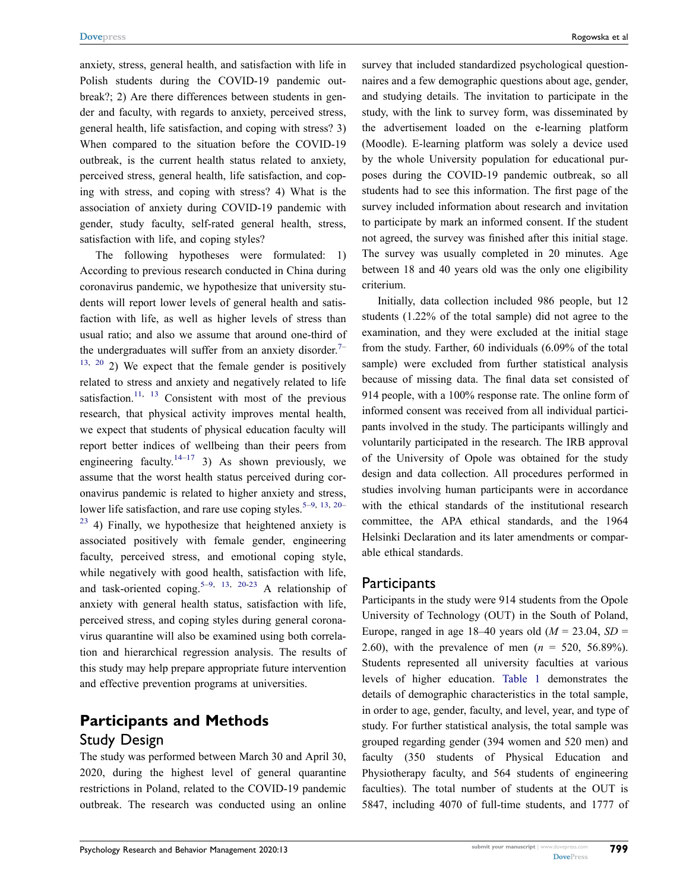anxiety, stress, general health, and satisfaction with life in Polish students during the COVID-19 pandemic outbreak?; 2) Are there differences between students in gender and faculty, with regards to anxiety, perceived stress, general health, life satisfaction, and coping with stress? 3) When compared to the situation before the COVID-19 outbreak, is the current health status related to anxiety, perceived stress, general health, life satisfaction, and coping with stress, and coping with stress? 4) What is the association of anxiety during COVID-19 pandemic with gender, study faculty, self-rated general health, stress, satisfaction with life, and coping styles?

The following hypotheses were formulated: 1) According to previous research conducted in China during coronavirus pandemic, we hypothesize that university students will report lower levels of general health and satisfaction with life, as well as higher levels of stress than usual ratio; and also we assume that around one-third of the undergraduates will suffer from an anxiety disorder.<sup>7-</sup>  $13, 20$  $13, 20$  $13, 20$  2) We expect that the female gender is positively related to stress and anxiety and negatively related to life satisfaction.<sup>[11](#page-13-2), [13](#page-13-1)</sup> Consistent with most of the previous research, that physical activity improves mental health, we expect that students of physical education faculty will report better indices of wellbeing than their peers from engineering faculty.<sup>[14–](#page-13-4)[17](#page-13-5)</sup> 3) As shown previously, we assume that the worst health status perceived during coronavirus pandemic is related to higher anxiety and stress, lower life satisfaction, and rare use coping styles.<sup>[5–](#page-12-4)[9](#page-13-3), [13](#page-13-1), [20–](#page-13-9)</sup>  $23$  4) Finally, we hypothesize that heightened anxiety is associated positively with female gender, engineering faculty, perceived stress, and emotional coping style, while negatively with good health, satisfaction with life, and task-oriented coping.<sup>5–[9](#page-13-3), [13](#page-13-1), [20](#page-13-9)-23</sup> A relationship of anxiety with general health status, satisfaction with life, perceived stress, and coping styles during general coronavirus quarantine will also be examined using both correlation and hierarchical regression analysis. The results of this study may help prepare appropriate future intervention and effective prevention programs at universities.

# <span id="page-2-0"></span>**Participants and Methods** Study Design

The study was performed between March 30 and April 30, 2020, during the highest level of general quarantine restrictions in Poland, related to the COVID-19 pandemic outbreak. The research was conducted using an online survey that included standardized psychological questionnaires and a few demographic questions about age, gender, and studying details. The invitation to participate in the study, with the link to survey form, was disseminated by the advertisement loaded on the e-learning platform (Moodle). E-learning platform was solely a device used by the whole University population for educational purposes during the COVID-19 pandemic outbreak, so all students had to see this information. The first page of the survey included information about research and invitation to participate by mark an informed consent. If the student not agreed, the survey was finished after this initial stage. The survey was usually completed in 20 minutes. Age between 18 and 40 years old was the only one eligibility criterium.

Initially, data collection included 986 people, but 12 students (1.22% of the total sample) did not agree to the examination, and they were excluded at the initial stage from the study. Farther, 60 individuals (6.09% of the total sample) were excluded from further statistical analysis because of missing data. The final data set consisted of 914 people, with a 100% response rate. The online form of informed consent was received from all individual participants involved in the study. The participants willingly and voluntarily participated in the research. The IRB approval of the University of Opole was obtained for the study design and data collection. All procedures performed in studies involving human participants were in accordance with the ethical standards of the institutional research committee, the APA ethical standards, and the 1964 Helsinki Declaration and its later amendments or comparable ethical standards.

### **Participants**

Participants in the study were 914 students from the Opole University of Technology (OUT) in the South of Poland, Europe, ranged in age 18–40 years old  $(M = 23.04, SD =$ 2.60), with the prevalence of men (*n* = 520, 56.89%). Students represented all university faculties at various levels of higher education. [Table 1](#page-3-0) demonstrates the details of demographic characteristics in the total sample, in order to age, gender, faculty, and level, year, and type of study. For further statistical analysis, the total sample was grouped regarding gender (394 women and 520 men) and faculty (350 students of Physical Education and Physiotherapy faculty, and 564 students of engineering faculties). The total number of students at the OUT is 5847, including 4070 of full-time students, and 1777 of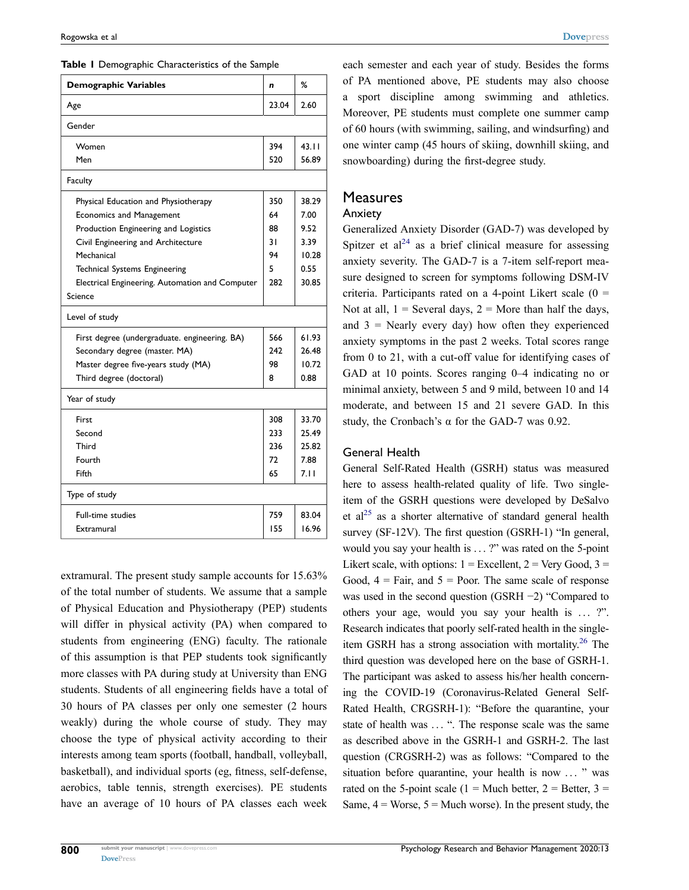<span id="page-3-0"></span>**Table 1** Demographic Characteristics of the Sample

| <b>Demographic Variables</b>                    | n     | %     |
|-------------------------------------------------|-------|-------|
| Age                                             | 23.04 | 2.60  |
| Gender                                          |       |       |
| Women                                           | 394   | 43.11 |
| Men                                             | 520   | 56.89 |
| <b>Faculty</b>                                  |       |       |
| Physical Education and Physiotherapy            | 350   | 38.29 |
| <b>Economics and Management</b>                 | 64    | 7.00  |
| Production Engineering and Logistics            | 88    | 9.52  |
| Civil Engineering and Architecture              | 31    | 3.39  |
| Mechanical                                      | 94    | 10.28 |
| <b>Technical Systems Engineering</b>            | 5     | 0.55  |
| Electrical Engineering. Automation and Computer | 282   | 30.85 |
| Science                                         |       |       |
| Level of study                                  |       |       |
| First degree (undergraduate. engineering. BA)   | 566   | 61.93 |
| Secondary degree (master. MA)                   | 747   | 26.48 |
| Master degree five-years study (MA)             | 98    | 10.72 |
| Third degree (doctoral)                         | 8     | 0.88  |
| Year of study                                   |       |       |
| First                                           | 308   | 33.70 |
| Second                                          | 233   | 25.49 |
| Third                                           | 236   | 25.82 |
| Fourth                                          | 72    | 7.88  |
| Fifth                                           | 65    | 7.II  |
| Type of study                                   |       |       |
| <b>Full-time studies</b>                        | 759   | 83.04 |
| Extramural                                      | 155   | 16.96 |

extramural. The present study sample accounts for 15.63% of the total number of students. We assume that a sample of Physical Education and Physiotherapy (PEP) students will differ in physical activity (PA) when compared to students from engineering (ENG) faculty. The rationale of this assumption is that PEP students took significantly more classes with PA during study at University than ENG students. Students of all engineering fields have a total of 30 hours of PA classes per only one semester (2 hours weakly) during the whole course of study. They may choose the type of physical activity according to their interests among team sports (football, handball, volleyball, basketball), and individual sports (eg, fitness, self-defense, aerobics, table tennis, strength exercises). PE students have an average of 10 hours of PA classes each week each semester and each year of study. Besides the forms of PA mentioned above, PE students may also choose a sport discipline among swimming and athletics. Moreover, PE students must complete one summer camp of 60 hours (with swimming, sailing, and windsurfing) and one winter camp (45 hours of skiing, downhill skiing, and snowboarding) during the first-degree study.

### **Measures**

#### Anxiety

<span id="page-3-1"></span>Generalized Anxiety Disorder (GAD-7) was developed by Spitzer et  $al^{24}$  as a brief clinical measure for assessing anxiety severity. The GAD-7 is a 7-item self-report measure designed to screen for symptoms following DSM-IV criteria. Participants rated on a 4-point Likert scale  $(0 =$ Not at all,  $1 =$  Several days,  $2 =$  More than half the days, and  $3$  = Nearly every day) how often they experienced anxiety symptoms in the past 2 weeks. Total scores range from 0 to 21, with a cut-off value for identifying cases of GAD at 10 points. Scores ranging 0–4 indicating no or minimal anxiety, between 5 and 9 mild, between 10 and 14 moderate, and between 15 and 21 severe GAD. In this study, the Cronbach's  $\alpha$  for the GAD-7 was 0.92.

#### General Health

<span id="page-3-3"></span><span id="page-3-2"></span>General Self-Rated Health (GSRH) status was measured here to assess health-related quality of life. Two singleitem of the GSRH questions were developed by DeSalvo et al<sup>25</sup> as a shorter alternative of standard general health survey (SF-12V). The first question (GSRH-1) "In general, would you say your health is ...?" was rated on the 5-point Likert scale, with options:  $1 =$  Excellent,  $2 =$  Very Good,  $3 =$ Good,  $4 = \text{Fair}, \text{ and } 5 = \text{Poor}.$  The same scale of response was used in the second question (GSRH −2) "Compared to others your age, would you say your health is ... ?". Research indicates that poorly self-rated health in the singleitem GSRH has a strong association with mortality. [26](#page-13-13) The third question was developed here on the base of GSRH-1. The participant was asked to assess his/her health concerning the COVID-19 (Coronavirus-Related General Self-Rated Health, CRGSRH-1): "Before the quarantine, your state of health was ... ". The response scale was the same as described above in the GSRH-1 and GSRH-2. The last question (CRGSRH-2) was as follows: "Compared to the situation before quarantine, your health is now ... " was rated on the 5-point scale (1 = Much better, 2 = Better, 3 = Same,  $4 = \text{Worse}, 5 = \text{Much worse}$ ). In the present study, the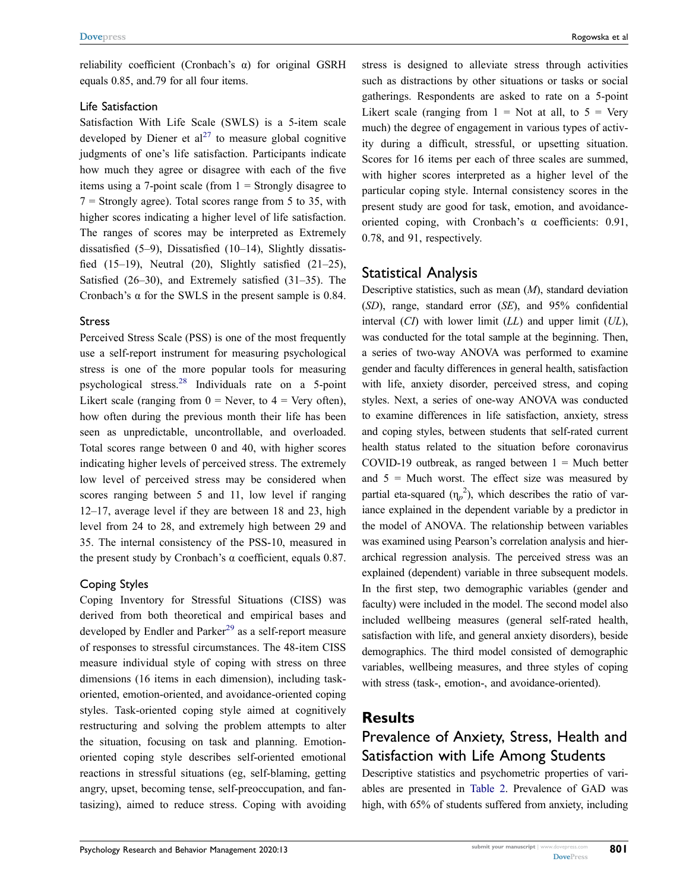reliability coefficient (Cronbach's α) for original GSRH equals 0.85, and.79 for all four items.

#### Life Satisfaction

<span id="page-4-0"></span>Satisfaction With Life Scale (SWLS) is a 5-item scale developed by Diener et  $al^{27}$  to measure global cognitive judgments of one's life satisfaction. Participants indicate how much they agree or disagree with each of the five items using a 7-point scale (from  $1 =$  Strongly disagree to  $7 =$  Strongly agree). Total scores range from 5 to 35, with higher scores indicating a higher level of life satisfaction. The ranges of scores may be interpreted as Extremely dissatisfied (5–9), Dissatisfied (10–14), Slightly dissatisfied  $(15-19)$ , Neutral  $(20)$ , Slightly satisfied  $(21-25)$ , Satisfied (26–30), and Extremely satisfied (31–35). The Cronbach's  $\alpha$  for the SWLS in the present sample is 0.84.

#### Stress

<span id="page-4-1"></span>Perceived Stress Scale (PSS) is one of the most frequently use a self-report instrument for measuring psychological stress is one of the more popular tools for measuring psychological stress.[28](#page-13-15) Individuals rate on a 5-point Likert scale (ranging from  $0 =$  Never, to  $4 =$  Very often), how often during the previous month their life has been seen as unpredictable, uncontrollable, and overloaded. Total scores range between 0 and 40, with higher scores indicating higher levels of perceived stress. The extremely low level of perceived stress may be considered when scores ranging between 5 and 11, low level if ranging 12–17, average level if they are between 18 and 23, high level from 24 to 28, and extremely high between 29 and 35. The internal consistency of the PSS-10, measured in the present study by Cronbach's α coefficient, equals  $0.87$ .

#### Coping Styles

<span id="page-4-2"></span>Coping Inventory for Stressful Situations (CISS) was derived from both theoretical and empirical bases and developed by Endler and Parker<sup>[29](#page-13-16)</sup> as a self-report measure of responses to stressful circumstances. The 48-item CISS measure individual style of coping with stress on three dimensions (16 items in each dimension), including taskoriented, emotion-oriented, and avoidance-oriented coping styles. Task-oriented coping style aimed at cognitively restructuring and solving the problem attempts to alter the situation, focusing on task and planning. Emotionoriented coping style describes self-oriented emotional reactions in stressful situations (eg, self-blaming, getting angry, upset, becoming tense, self-preoccupation, and fantasizing), aimed to reduce stress. Coping with avoiding

stress is designed to alleviate stress through activities such as distractions by other situations or tasks or social gatherings. Respondents are asked to rate on a 5-point Likert scale (ranging from  $1 =$  Not at all, to  $5 =$  Very much) the degree of engagement in various types of activity during a difficult, stressful, or upsetting situation. Scores for 16 items per each of three scales are summed, with higher scores interpreted as a higher level of the particular coping style. Internal consistency scores in the present study are good for task, emotion, and avoidanceoriented coping, with Cronbach's α coefficients: 0.91, 0.78, and 91, respectively.

### Statistical Analysis

Descriptive statistics, such as mean (*M*), standard deviation (*SD*), range, standard error (*SE*), and 95% confidential interval (*CI*) with lower limit (*LL*) and upper limit (*UL*), was conducted for the total sample at the beginning. Then, a series of two-way ANOVA was performed to examine gender and faculty differences in general health, satisfaction with life, anxiety disorder, perceived stress, and coping styles. Next, a series of one-way ANOVA was conducted to examine differences in life satisfaction, anxiety, stress and coping styles, between students that self-rated current health status related to the situation before coronavirus COVID-19 outbreak, as ranged between  $1 =$  Much better and  $5 =$  Much worst. The effect size was measured by partial eta-squared  $(\eta_p^2)$ , which describes the ratio of variance explained in the dependent variable by a predictor in the model of ANOVA. The relationship between variables was examined using Pearson's correlation analysis and hierarchical regression analysis. The perceived stress was an explained (dependent) variable in three subsequent models. In the first step, two demographic variables (gender and faculty) were included in the model. The second model also included wellbeing measures (general self-rated health, satisfaction with life, and general anxiety disorders), beside demographics. The third model consisted of demographic variables, wellbeing measures, and three styles of coping with stress (task-, emotion-, and avoidance-oriented).

# **Results**

# Prevalence of Anxiety, Stress, Health and Satisfaction with Life Among Students

Descriptive statistics and psychometric properties of variables are presented in [Table 2](#page-5-0). Prevalence of GAD was high, with 65% of students suffered from anxiety, including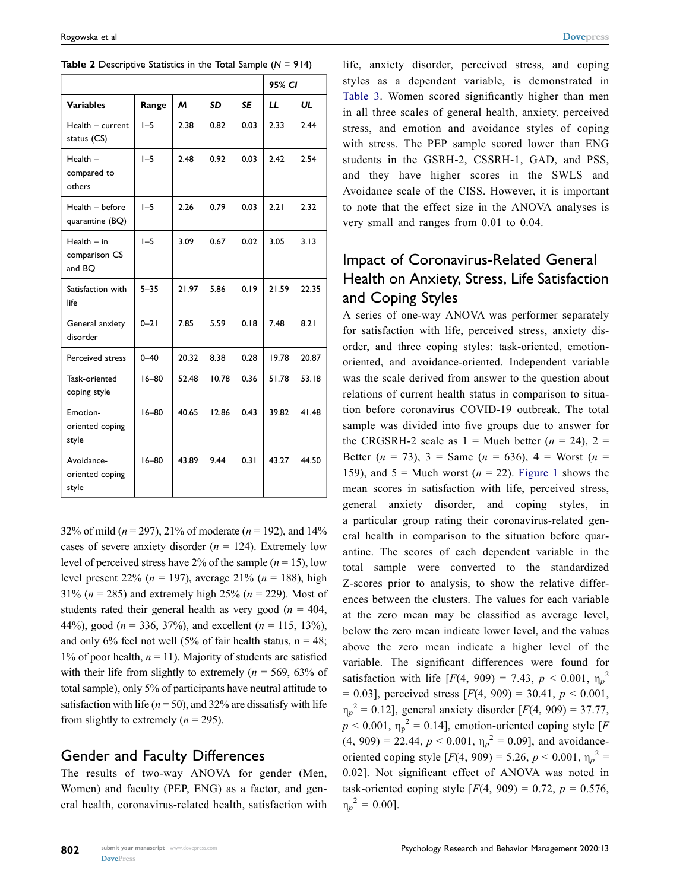|                                          |           |       |           |           | 95% CI |       |
|------------------------------------------|-----------|-------|-----------|-----------|--------|-------|
| <b>Variables</b>                         | Range     | м     | <b>SD</b> | <b>SE</b> | LL     | UL    |
| Health - current<br>status (CS)          | $I - 5$   | 2.38  | 0.82      | 0.03      | 2.33   | 2.44  |
| $Health -$<br>compared to<br>others      | $I - 5$   | 2.48  | 0.92      | 0.03      | 2.42   | 2.54  |
| Health - before<br>quarantine (BQ)       | $I - 5$   | 2.26  | 0.79      | 0.03      | 2.21   | 2.32  |
| $Health - in$<br>comparison CS<br>and BQ | $I - 5$   | 3.09  | 0.67      | 0.02      | 3.05   | 3.13  |
| Satisfaction with<br>life                | $5 - 35$  | 21.97 | 5.86      | 0.19      | 21.59  | 22.35 |
| General anxiety<br>disorder              | $0 - 21$  | 7.85  | 5.59      | 0.18      | 7.48   | 8.21  |
| Perceived stress                         | $0 - 40$  | 20.32 | 8.38      | 0.28      | 19.78  | 20.87 |
| Task-oriented<br>coping style            | $16 - 80$ | 52.48 | 10.78     | 0.36      | 51.78  | 53.18 |
| Emotion-<br>oriented coping<br>style     | $16 - 80$ | 40.65 | 12.86     | 0.43      | 39.82  | 41.48 |
| Avoidance-<br>oriented coping<br>style   | $16 - 80$ | 43.89 | 9.44      | 0.31      | 43.27  | 44.50 |

<span id="page-5-0"></span>

| <b>Table 2</b> Descriptive Statistics in the Total Sample $(N = 914)$ |  |  |  |  |  |  |  |
|-----------------------------------------------------------------------|--|--|--|--|--|--|--|
|-----------------------------------------------------------------------|--|--|--|--|--|--|--|

32% of mild (*n* = 297), 21% of moderate (*n* = 192), and 14% cases of severe anxiety disorder (*n* = 124). Extremely low level of perceived stress have 2% of the sample  $(n = 15)$ , low level present 22% (*n* = 197), average 21% (*n* = 188), high 31% (*n* = 285) and extremely high 25% (*n* = 229). Most of students rated their general health as very good ( $n = 404$ , 44%), good (*n* = 336, 37%), and excellent (*n* = 115, 13%), and only 6% feel not well (5% of fair health status,  $n = 48$ ; 1% of poor health,  $n = 11$ ). Majority of students are satisfied with their life from slightly to extremely ( $n = 569, 63\%$  of total sample), only 5% of participants have neutral attitude to satisfaction with life ( $n = 50$ ), and 32% are dissatisfy with life from slightly to extremely  $(n = 295)$ .

### Gender and Faculty Differences

The results of two-way ANOVA for gender (Men, Women) and faculty (PEP, ENG) as a factor, and general health, coronavirus-related health, satisfaction with life, anxiety disorder, perceived stress, and coping styles as a dependent variable, is demonstrated in [Table 3.](#page-6-0) Women scored significantly higher than men in all three scales of general health, anxiety, perceived stress, and emotion and avoidance styles of coping with stress. The PEP sample scored lower than ENG students in the GSRH-2, CSSRH-1, GAD, and PSS, and they have higher scores in the SWLS and Avoidance scale of the CISS. However, it is important to note that the effect size in the ANOVA analyses is very small and ranges from 0.01 to 0.04.

# Impact of Coronavirus-Related General Health on Anxiety, Stress, Life Satisfaction and Coping Styles

A series of one-way ANOVA was performer separately for satisfaction with life, perceived stress, anxiety disorder, and three coping styles: task-oriented, emotionoriented, and avoidance-oriented. Independent variable was the scale derived from answer to the question about relations of current health status in comparison to situation before coronavirus COVID-19 outbreak. The total sample was divided into five groups due to answer for the CRGSRH-2 scale as  $1 =$  Much better  $(n = 24)$ ,  $2 =$ Better  $(n = 73)$ ,  $3 =$  Same  $(n = 636)$ ,  $4 =$  Worst  $(n = 173)$ 159), and  $5 =$  Much worst ( $n = 22$ ). [Figure 1](#page-7-0) shows the mean scores in satisfaction with life, perceived stress, general anxiety disorder, and coping styles, in a particular group rating their coronavirus-related general health in comparison to the situation before quarantine. The scores of each dependent variable in the total sample were converted to the standardized Z-scores prior to analysis, to show the relative differences between the clusters. The values for each variable at the zero mean may be classified as average level, below the zero mean indicate lower level, and the values above the zero mean indicate a higher level of the variable. The significant differences were found for satisfaction with life  $[F(4, 909) = 7.43, p < 0.001, \eta_p^2]$  $= 0.03$ ], perceived stress [ $F(4, 909) = 30.41$ ,  $p < 0.001$ ,  $\eta_p^2 = 0.12$ ], general anxiety disorder [*F*(4, 909) = 37.77,  $p < 0.001$ ,  $\eta_p^2 = 0.14$ ], emotion-oriented coping style [*F*  $(4, 909) = 22.44, p < 0.001, \eta_p^2 = 0.09$ , and avoidanceoriented coping style  $[F(4, 909) = 5.26, p < 0.001, \eta_p^2]$ 0.02]. Not significant effect of ANOVA was noted in task-oriented coping style  $[F(4, 909) = 0.72, p = 0.576,$  $\eta_p^2 = 0.00$ ].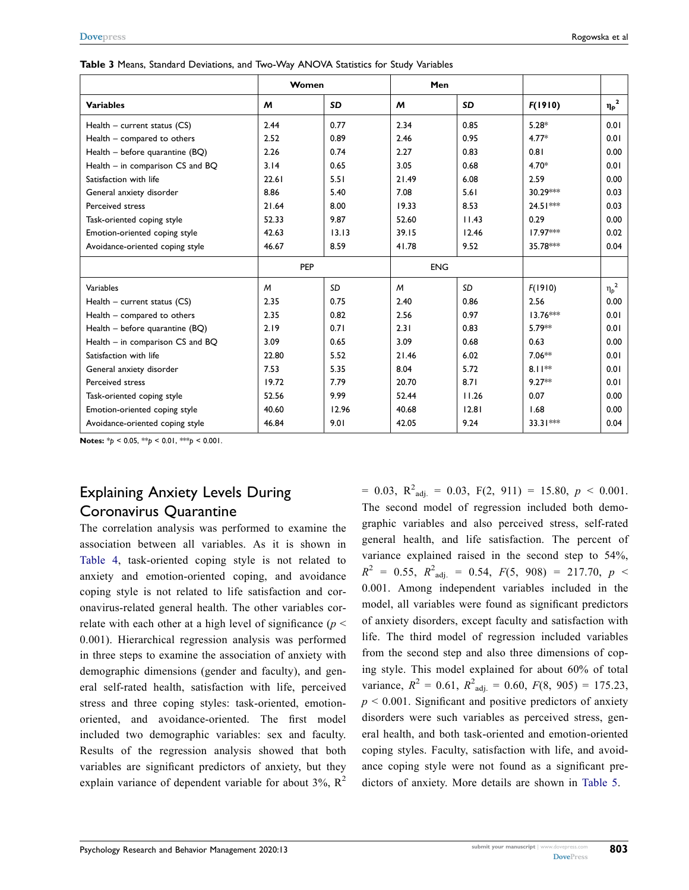|                                  | Women          |           | Men        |       |            |            |
|----------------------------------|----------------|-----------|------------|-------|------------|------------|
| <b>Variables</b>                 | M              | <b>SD</b> | M          | SD    | F(1910)    | $\eta_p^2$ |
| Health $-$ current status (CS)   | 2.44           | 0.77      | 2.34       | 0.85  | $5.28*$    | 0.01       |
| Health - compared to others      | 2.52           | 0.89      | 2.46       | 0.95  | $4.77*$    | 0.01       |
| Health - before quarantine (BQ)  | 2.26           | 0.74      | 2.27       | 0.83  | 0.81       | 0.00       |
| Health - in comparison CS and BQ | 3.14           | 0.65      | 3.05       | 0.68  | $4.70*$    | 0.01       |
| Satisfaction with life           | 22.61          | 5.51      | 21.49      | 6.08  | 2.59       | 0.00       |
| General anxiety disorder         | 8.86           | 5.40      | 7.08       | 5.61  | 30.29***   | 0.03       |
| Perceived stress                 | 21.64          | 8.00      | 19.33      | 8.53  | $24.51***$ | 0.03       |
| Task-oriented coping style       | 52.33          | 9.87      | 52.60      | 11.43 | 0.29       | 0.00       |
| Emotion-oriented coping style    | 42.63          | 13.13     | 39.15      | 12.46 | 17.97***   | 0.02       |
| Avoidance-oriented coping style  | 46.67          | 8.59      | 41.78      | 9.52  | 35.78***   | 0.04       |
|                                  | PEP            |           | <b>ENG</b> |       |            |            |
| Variables                        | $\overline{M}$ | <b>SD</b> | M          | SD    | F(1910)    | $\eta_p^2$ |
| Health - current status (CS)     | 2.35           | 0.75      | 2.40       | 0.86  | 2.56       | 0.00       |
| Health - compared to others      | 2.35           | 0.82      | 2.56       | 0.97  | $13.76***$ | 0.01       |
| Health - before quarantine (BQ)  | 2.19           | 0.71      | 2.31       | 0.83  | $5.79**$   | 0.01       |
| Health - in comparison CS and BQ | 3.09           | 0.65      | 3.09       | 0.68  | 0.63       | 0.00       |
| Satisfaction with life           | 22.80          | 5.52      | 21.46      | 6.02  | $7.06**$   | 0.01       |
| General anxiety disorder         | 7.53           | 5.35      | 8.04       | 5.72  | $8.11**$   | 0.01       |
| Perceived stress                 | 19.72          | 7.79      | 20.70      | 8.71  | $9.27**$   | 0.01       |
| Task-oriented coping style       | 52.56          | 9.99      | 52.44      | 11.26 | 0.07       | 0.00       |
| Emotion-oriented coping style    | 40.60          | 12.96     | 40.68      | 12.81 | 1.68       | 0.00       |
| Avoidance-oriented coping style  | 46.84          | 9.01      | 42.05      | 9.24  | $33.31***$ | 0.04       |

<span id="page-6-0"></span>**Table 3** Means, Standard Deviations, and Two-Way ANOVA Statistics for Study Variables

**Notes:** \**p* < 0.05, \*\**p* < 0.01, \*\*\**p* < 0.001.

# Explaining Anxiety Levels During Coronavirus Quarantine

The correlation analysis was performed to examine the association between all variables. As it is shown in [Table 4,](#page-7-1) task-oriented coping style is not related to anxiety and emotion-oriented coping, and avoidance coping style is not related to life satisfaction and coronavirus-related general health. The other variables correlate with each other at a high level of significance (*p* < 0.001). Hierarchical regression analysis was performed in three steps to examine the association of anxiety with demographic dimensions (gender and faculty), and general self-rated health, satisfaction with life, perceived stress and three coping styles: task-oriented, emotionoriented, and avoidance-oriented. The first model included two demographic variables: sex and faculty. Results of the regression analysis showed that both variables are significant predictors of anxiety, but they explain variance of dependent variable for about  $3\%$ ,  $\mathbb{R}^2$ 

 $= 0.03$ ,  $R^2_{adj.} = 0.03$ ,  $F(2, 911) = 15.80$ ,  $p < 0.001$ . The second model of regression included both demographic variables and also perceived stress, self-rated general health, and life satisfaction. The percent of variance explained raised in the second step to 54%,  $R^2$  = 0.55,  $R^2$ <sub>adj.</sub> = 0.54,  $F(5, 908)$  = 217.70,  $p \le$ 0.001. Among independent variables included in the model, all variables were found as significant predictors of anxiety disorders, except faculty and satisfaction with life. The third model of regression included variables from the second step and also three dimensions of coping style. This model explained for about 60% of total variance,  $R^2 = 0.61$ ,  $R^2_{\text{adj.}} = 0.60$ ,  $F(8, 905) = 175.23$ ,  $p < 0.001$ . Significant and positive predictors of anxiety disorders were such variables as perceived stress, general health, and both task-oriented and emotion-oriented coping styles. Faculty, satisfaction with life, and avoidance coping style were not found as a significant predictors of anxiety. More details are shown in [Table 5](#page-8-0).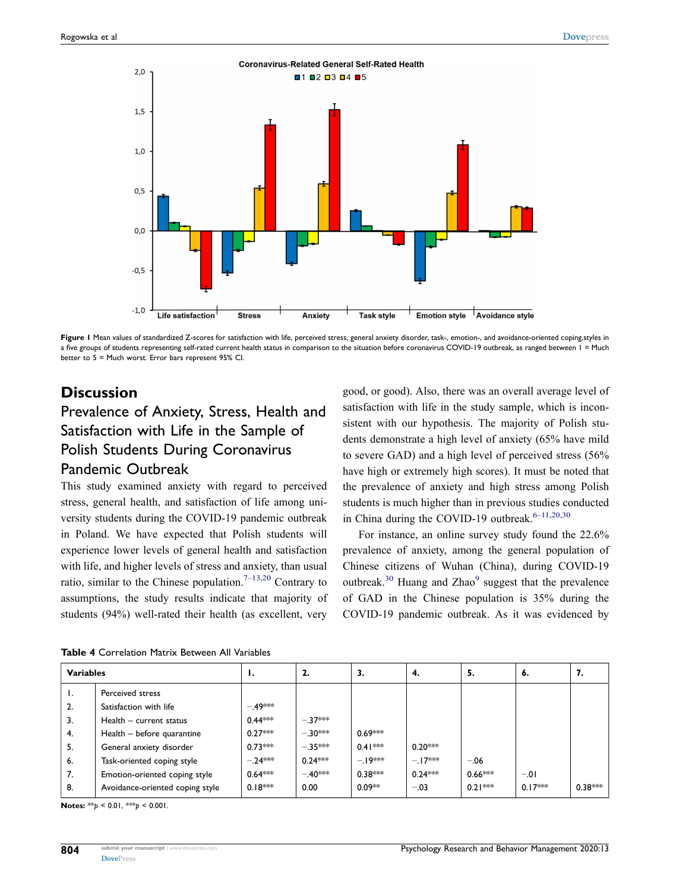<span id="page-7-0"></span>

Figure I Mean values of standardized Z-scores for satisfaction with life, perceived stress, general anxiety disorder, task-, emotion-, and avoidance-oriented coping,styles in a five groups of students representing self-rated current health status in comparison to the situation before coronavirus COVID-19 outbreak, as ranged between 1 = Much better to 5 = Much worst. Error bars represent 95% CI.

# **Discussion**

# Prevalence of Anxiety, Stress, Health and Satisfaction with Life in the Sample of Polish Students During Coronavirus Pandemic Outbreak

This study examined anxiety with regard to perceived stress, general health, and satisfaction of life among university students during the COVID-19 pandemic outbreak in Poland. We have expected that Polish students will experience lower levels of general health and satisfaction with life, and higher levels of stress and anxiety, than usual ratio, similar to the Chinese population.<sup>7–[13](#page-13-1),20</sup> Contrary to assumptions, the study results indicate that majority of students (94%) well-rated their health (as excellent, very good, or good). Also, there was an overall average level of satisfaction with life in the study sample, which is inconsistent with our hypothesis. The majority of Polish students demonstrate a high level of anxiety (65% have mild to severe GAD) and a high level of perceived stress (56% have high or extremely high scores). It must be noted that the prevalence of anxiety and high stress among Polish students is much higher than in previous studies conducted in China during the COVID-19 outbreak. $6-11,20,30$  $6-11,20,30$  $6-11,20,30$  $6-11,20,30$ 

<span id="page-7-2"></span>For instance, an online survey study found the 22.6% prevalence of anxiety, among the general population of Chinese citizens of Wuhan (China), during COVID-19 outbreak.<sup>30</sup> Huang and Zhao<sup>9</sup> suggest that the prevalence of GAD in the Chinese population is 35% during the COVID-19 pandemic outbreak. As it was evidenced by

| <b>Variables</b> |                                 | .,        | 2.        | З.        | 4.        | 5.        | 6.        | 7.        |
|------------------|---------------------------------|-----------|-----------|-----------|-----------|-----------|-----------|-----------|
| ι.               | Perceived stress                |           |           |           |           |           |           |           |
| 2.               | Satisfaction with life          | $-49***$  |           |           |           |           |           |           |
| 3.               | Health - current status         | $0.44***$ | $-.37***$ |           |           |           |           |           |
| 4.               | Health - before quarantine      | $0.27***$ | $-.30***$ | $0.69***$ |           |           |           |           |
| 5.               | General anxiety disorder        | $0.73***$ | $-.35***$ | $0.41***$ | $0.20***$ |           |           |           |
| 6.               | Task-oriented coping style      | $-.24***$ | $0.24***$ | $-19***$  | $-17***$  | $-.06$    |           |           |
| 7.               | Emotion-oriented coping style   | $0.64***$ | $-.40***$ | $0.38***$ | $0.24***$ | $0.66***$ | $-.01$    |           |
| 8.               | Avoidance-oriented coping style | $0.18***$ | 0.00      | $0.09**$  | $-.03$    | $0.21***$ | $0.17***$ | $0.38***$ |

<span id="page-7-1"></span>

| <b>Table 4</b> Correlation Matrix Between All Variables |  |
|---------------------------------------------------------|--|
|---------------------------------------------------------|--|

**Notes:** \*\**p* < 0.01, \*\*\**p* < 0.001.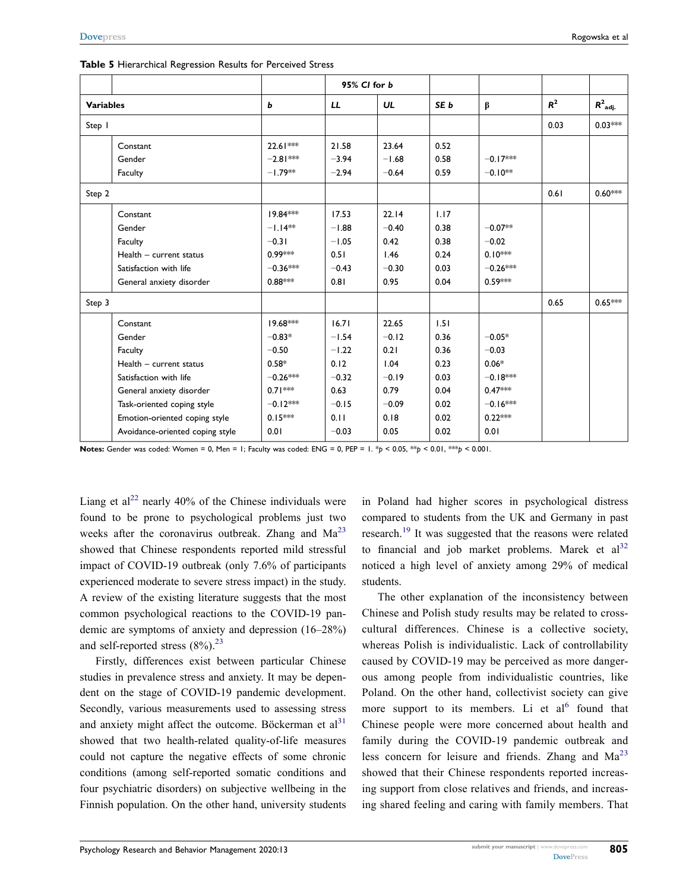|        |                                 |            |         | 95% CI for b |                 |            |       |                       |
|--------|---------------------------------|------------|---------|--------------|-----------------|------------|-------|-----------------------|
|        | <b>Variables</b>                |            | LL      | UL           | SE <sub>b</sub> | $\beta$    | $R^2$ | $R^2$ <sub>adj.</sub> |
| Step 1 |                                 |            |         |              |                 |            | 0.03  | $0.03***$             |
|        | Constant                        | 22.61 ***  | 21.58   | 23.64        | 0.52            |            |       |                       |
|        | Gender                          | $-2.81***$ | $-3.94$ | $-1.68$      | 0.58            | $-0.17***$ |       |                       |
|        | Faculty                         | $-1.79**$  | $-2.94$ | $-0.64$      | 0.59            | $-0.10**$  |       |                       |
| Step 2 |                                 |            |         |              |                 |            | 0.61  | $0.60***$             |
|        | Constant                        | 19.84 ***  | 17.53   | 22.14        | 1.17            |            |       |                       |
|        | Gender                          | $-1.14**$  | $-1.88$ | $-0.40$      | 0.38            | $-0.07**$  |       |                       |
|        | Faculty                         | $-0.31$    | $-1.05$ | 0.42         | 0.38            | $-0.02$    |       |                       |
|        | Health - current status         | $0.99***$  | 0.51    | 1.46         | 0.24            | $0.10***$  |       |                       |
|        | Satisfaction with life          | $-0.36***$ | $-0.43$ | $-0.30$      | 0.03            | $-0.26***$ |       |                       |
|        | General anxiety disorder        | $0.88***$  | 0.81    | 0.95         | 0.04            | $0.59***$  |       |                       |
| Step 3 |                                 |            |         |              |                 |            | 0.65  | $0.65***$             |
|        | Constant                        | 19.68***   | 16.71   | 22.65        | 1.51            |            |       |                       |
|        | Gender                          | $-0.83*$   | $-1.54$ | $-0.12$      | 0.36            | $-0.05*$   |       |                       |
|        | Faculty                         | $-0.50$    | $-1.22$ | 0.21         | 0.36            | $-0.03$    |       |                       |
|        | Health - current status         | $0.58*$    | 0.12    | 1.04         | 0.23            | $0.06*$    |       |                       |
|        | Satisfaction with life          | $-0.26***$ | $-0.32$ | $-0.19$      | 0.03            | $-0.18***$ |       |                       |
|        | General anxiety disorder        | $0.71***$  | 0.63    | 0.79         | 0.04            | $0.47***$  |       |                       |
|        | Task-oriented coping style      | $-0.12***$ | $-0.15$ | $-0.09$      | 0.02            | $-0.16***$ |       |                       |
|        | Emotion-oriented coping style   | $0.15***$  | 0.11    | 0.18         | 0.02            | $0.22***$  |       |                       |
|        | Avoidance-oriented coping style | 0.01       | $-0.03$ | 0.05         | 0.02            | 0.01       |       |                       |

<span id="page-8-0"></span>

| Table 5 Hierarchical Regression Results for Perceived Stress |  |  |  |
|--------------------------------------------------------------|--|--|--|
|--------------------------------------------------------------|--|--|--|

**Notes:** Gender was coded: Women = 0, Men = 1; Faculty was coded: ENG = 0, PEP = 1. \**p* < 0.05, \*\**p* < 0.01, \*\*\**p* < 0.001.

<span id="page-8-1"></span>Liang et al<sup>[22](#page-13-18)</sup> nearly 40% of the Chinese individuals were found to be prone to psychological problems just two weeks after the coronavirus outbreak. Zhang and  $Ma^{23}$ showed that Chinese respondents reported mild stressful impact of COVID-19 outbreak (only 7.6% of participants experienced moderate to severe stress impact) in the study. A review of the existing literature suggests that the most common psychological reactions to the COVID-19 pandemic are symptoms of anxiety and depression (16–28%) and self-reported stress  $(8\%)$ .<sup>23</sup>

<span id="page-8-2"></span>Firstly, differences exist between particular Chinese studies in prevalence stress and anxiety. It may be dependent on the stage of COVID-19 pandemic development. Secondly, various measurements used to assessing stress and anxiety might affect the outcome. Böckerman et  $al<sup>31</sup>$ showed that two health-related quality-of-life measures could not capture the negative effects of some chronic conditions (among self-reported somatic conditions and four psychiatric disorders) on subjective wellbeing in the Finnish population. On the other hand, university students <span id="page-8-3"></span>in Poland had higher scores in psychological distress compared to students from the UK and Germany in past research.[19](#page-13-8) It was suggested that the reasons were related to financial and job market problems. Marek et  $al<sup>32</sup>$  $al<sup>32</sup>$  $al<sup>32</sup>$ noticed a high level of anxiety among 29% of medical students.

The other explanation of the inconsistency between Chinese and Polish study results may be related to crosscultural differences. Chinese is a collective society, whereas Polish is individualistic. Lack of controllability caused by COVID-19 may be perceived as more dangerous among people from individualistic countries, like Poland. On the other hand, collectivist society can give more support to its members. Li et  $al<sup>6</sup>$  found that Chinese people were more concerned about health and family during the COVID-19 pandemic outbreak and less concern for leisure and friends. Zhang and  $Ma^{23}$  $Ma^{23}$  $Ma^{23}$ showed that their Chinese respondents reported increasing support from close relatives and friends, and increasing shared feeling and caring with family members. That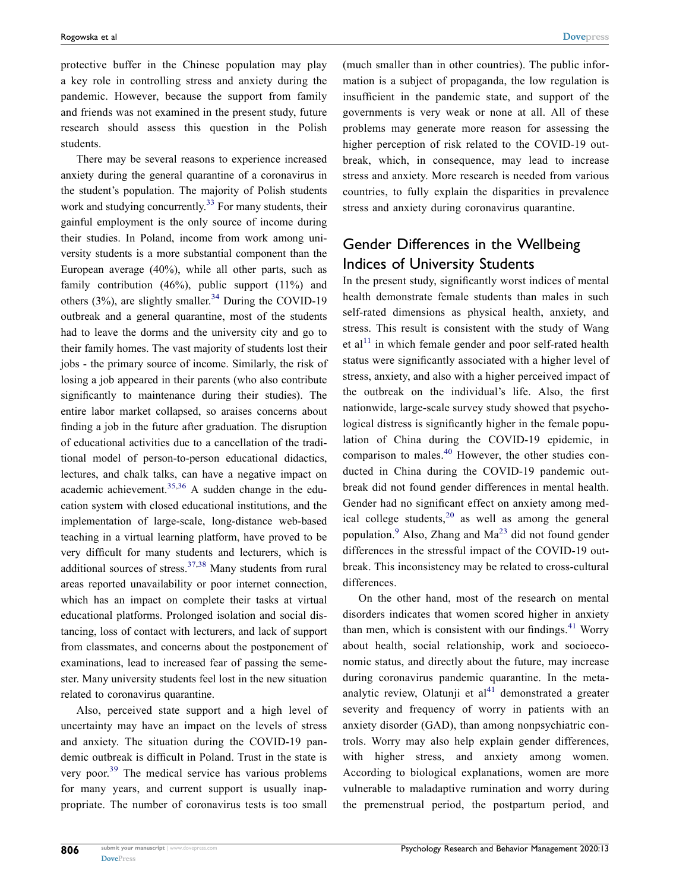protective buffer in the Chinese population may play a key role in controlling stress and anxiety during the pandemic. However, because the support from family and friends was not examined in the present study, future research should assess this question in the Polish students.

<span id="page-9-0"></span>There may be several reasons to experience increased anxiety during the general quarantine of a coronavirus in the student's population. The majority of Polish students work and studying concurrently.<sup>33</sup> For many students, their gainful employment is the only source of income during their studies. In Poland, income from work among university students is a more substantial component than the European average (40%), while all other parts, such as family contribution (46%), public support (11%) and others (3%), are slightly smaller.<sup>[34](#page-13-22)</sup> During the COVID-19 outbreak and a general quarantine, most of the students had to leave the dorms and the university city and go to their family homes. The vast majority of students lost their jobs - the primary source of income. Similarly, the risk of losing a job appeared in their parents (who also contribute significantly to maintenance during their studies). The entire labor market collapsed, so araises concerns about finding a job in the future after graduation. The disruption of educational activities due to a cancellation of the traditional model of person-to-person educational didactics, lectures, and chalk talks, can have a negative impact on academic achievement.<sup>[35](#page-13-23),36</sup> A sudden change in the education system with closed educational institutions, and the implementation of large-scale, long-distance web-based teaching in a virtual learning platform, have proved to be very difficult for many students and lecturers, which is additional sources of stress.<sup>[37](#page-13-25),38</sup> Many students from rural areas reported unavailability or poor internet connection, which has an impact on complete their tasks at virtual educational platforms. Prolonged isolation and social distancing, loss of contact with lecturers, and lack of support from classmates, and concerns about the postponement of examinations, lead to increased fear of passing the semester. Many university students feel lost in the new situation related to coronavirus quarantine.

<span id="page-9-3"></span><span id="page-9-2"></span><span id="page-9-1"></span>Also, perceived state support and a high level of uncertainty may have an impact on the levels of stress and anxiety. The situation during the COVID-19 pandemic outbreak is difficult in Poland. Trust in the state is very poor.<sup>[39](#page-13-27)</sup> The medical service has various problems for many years, and current support is usually inappropriate. The number of coronavirus tests is too small

(much smaller than in other countries). The public information is a subject of propaganda, the low regulation is insufficient in the pandemic state, and support of the governments is very weak or none at all. All of these problems may generate more reason for assessing the higher perception of risk related to the COVID-19 outbreak, which, in consequence, may lead to increase stress and anxiety. More research is needed from various countries, to fully explain the disparities in prevalence stress and anxiety during coronavirus quarantine.

# Gender Differences in the Wellbeing Indices of University Students

In the present study, significantly worst indices of mental health demonstrate female students than males in such self-rated dimensions as physical health, anxiety, and stress. This result is consistent with the study of Wang et al<sup>[11](#page-13-2)</sup> in which female gender and poor self-rated health status were significantly associated with a higher level of stress, anxiety, and also with a higher perceived impact of the outbreak on the individual's life. Also, the first nationwide, large-scale survey study showed that psychological distress is significantly higher in the female population of China during the COVID-19 epidemic, in comparison to males.[40](#page-13-28) However, the other studies conducted in China during the COVID-19 pandemic outbreak did not found gender differences in mental health. Gender had no significant effect on anxiety among medical college students,  $20$  as well as among the general population. $9$  Also, Zhang and Ma<sup>[23](#page-13-10)</sup> did not found gender differences in the stressful impact of the COVID-19 outbreak. This inconsistency may be related to cross-cultural differences.

<span id="page-9-5"></span><span id="page-9-4"></span>On the other hand, most of the research on mental disorders indicates that women scored higher in anxiety than men, which is consistent with our findings. $41$  Worry about health, social relationship, work and socioeconomic status, and directly about the future, may increase during coronavirus pandemic quarantine. In the metaanalytic review, Olatunji et  $al<sup>41</sup>$  $al<sup>41</sup>$  $al<sup>41</sup>$  demonstrated a greater severity and frequency of worry in patients with an anxiety disorder (GAD), than among nonpsychiatric controls. Worry may also help explain gender differences, with higher stress, and anxiety among women. According to biological explanations, women are more vulnerable to maladaptive rumination and worry during the premenstrual period, the postpartum period, and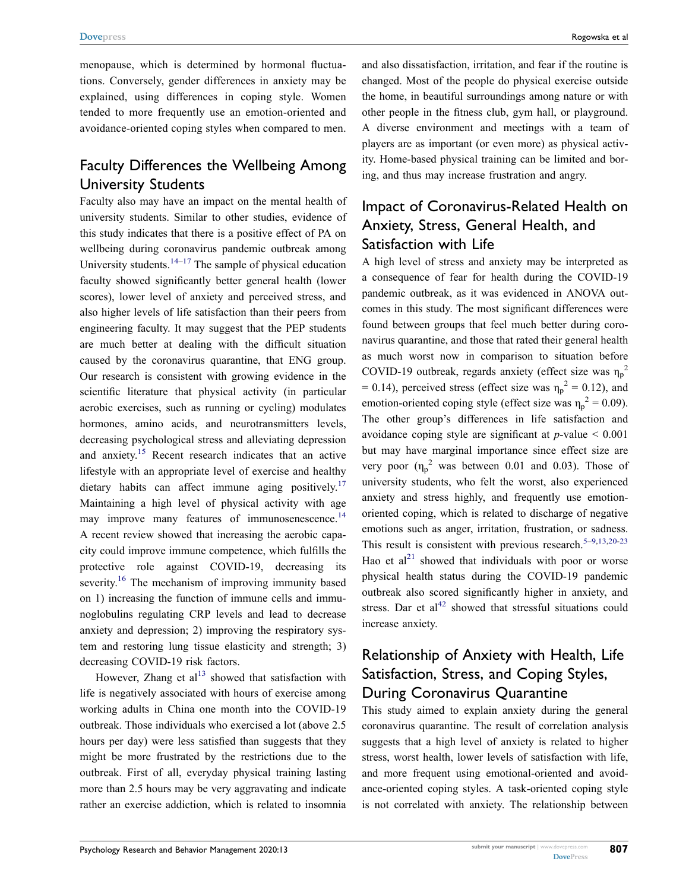menopause, which is determined by hormonal fluctuations. Conversely, gender differences in anxiety may be explained, using differences in coping style. Women tended to more frequently use an emotion-oriented and avoidance-oriented coping styles when compared to men.

# Faculty Differences the Wellbeing Among University Students

Faculty also may have an impact on the mental health of university students. Similar to other studies, evidence of this study indicates that there is a positive effect of PA on wellbeing during coronavirus pandemic outbreak among University students. $14-17$  $14-17$  The sample of physical education faculty showed significantly better general health (lower scores), lower level of anxiety and perceived stress, and also higher levels of life satisfaction than their peers from engineering faculty. It may suggest that the PEP students are much better at dealing with the difficult situation caused by the coronavirus quarantine, that ENG group. Our research is consistent with growing evidence in the scientific literature that physical activity (in particular aerobic exercises, such as running or cycling) modulates hormones, amino acids, and neurotransmitters levels, decreasing psychological stress and alleviating depression and anxiety. [15](#page-13-30) Recent research indicates that an active lifestyle with an appropriate level of exercise and healthy dietary habits can affect immune aging positively.<sup>17</sup> Maintaining a high level of physical activity with age may improve many features of immunosenescence.<sup>14</sup> A recent review showed that increasing the aerobic capacity could improve immune competence, which fulfills the protective role against COVID-19, decreasing its severity.<sup>[16](#page-13-6)</sup> The mechanism of improving immunity based on 1) increasing the function of immune cells and immunoglobulins regulating CRP levels and lead to decrease anxiety and depression; 2) improving the respiratory system and restoring lung tissue elasticity and strength; 3) decreasing COVID-19 risk factors.

<span id="page-10-0"></span>However, Zhang et al $^{13}$  $^{13}$  $^{13}$  showed that satisfaction with life is negatively associated with hours of exercise among working adults in China one month into the COVID-19 outbreak. Those individuals who exercised a lot (above 2.5 hours per day) were less satisfied than suggests that they might be more frustrated by the restrictions due to the outbreak. First of all, everyday physical training lasting more than 2.5 hours may be very aggravating and indicate rather an exercise addiction, which is related to insomnia

and also dissatisfaction, irritation, and fear if the routine is changed. Most of the people do physical exercise outside the home, in beautiful surroundings among nature or with other people in the fitness club, gym hall, or playground. A diverse environment and meetings with a team of players are as important (or even more) as physical activity. Home-based physical training can be limited and boring, and thus may increase frustration and angry.

# Impact of Coronavirus-Related Health on Anxiety, Stress, General Health, and Satisfaction with Life

A high level of stress and anxiety may be interpreted as a consequence of fear for health during the COVID-19 pandemic outbreak, as it was evidenced in ANOVA outcomes in this study. The most significant differences were found between groups that feel much better during coronavirus quarantine, and those that rated their general health as much worst now in comparison to situation before COVID-19 outbreak, regards anxiety (effect size was  $\eta_p^2$ )  $= 0.14$ ), perceived stress (effect size was  $\eta_p^2 = 0.12$ ), and emotion-oriented coping style (effect size was  $\eta_p^2 = 0.09$ ). The other group's differences in life satisfaction and avoidance coping style are significant at *p*-value < 0.001 but may have marginal importance since effect size are very poor  $(\eta_p^2)$  was between 0.01 and 0.03). Those of university students, who felt the worst, also experienced anxiety and stress highly, and frequently use emotionoriented coping, which is related to discharge of negative emotions such as anger, irritation, frustration, or sadness. This result is consistent with previous research.<sup>5–[9,](#page-13-3)[13](#page-13-1),[20](#page-13-9)-[23](#page-13-10)</sup> Hao et  $al<sup>21</sup>$  $al<sup>21</sup>$  $al<sup>21</sup>$  showed that individuals with poor or worse physical health status during the COVID-19 pandemic outbreak also scored significantly higher in anxiety, and stress. Dar et al<sup>42</sup> showed that stressful situations could increase anxiety.

# <span id="page-10-2"></span><span id="page-10-1"></span>Relationship of Anxiety with Health, Life Satisfaction, Stress, and Coping Styles, During Coronavirus Quarantine

This study aimed to explain anxiety during the general coronavirus quarantine. The result of correlation analysis suggests that a high level of anxiety is related to higher stress, worst health, lower levels of satisfaction with life, and more frequent using emotional-oriented and avoidance-oriented coping styles. A task-oriented coping style is not correlated with anxiety. The relationship between

**807**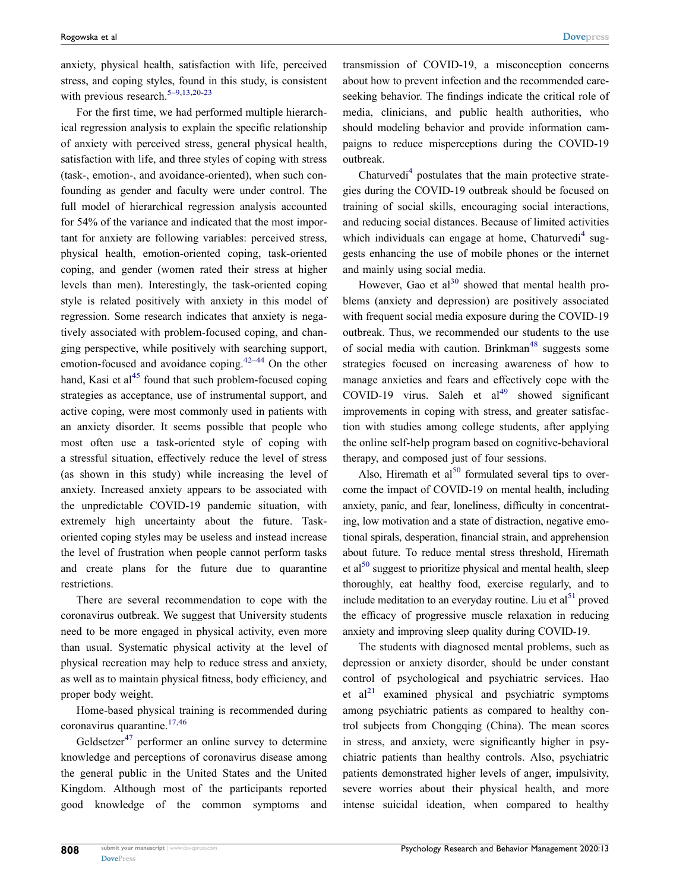anxiety, physical health, satisfaction with life, perceived stress, and coping styles, found in this study, is consistent with previous research.<sup>[5](#page-12-4)-9,[13](#page-13-1)[,20-](#page-13-9)[23](#page-13-10)</sup>

For the first time, we had performed multiple hierarchical regression analysis to explain the specific relationship of anxiety with perceived stress, general physical health, satisfaction with life, and three styles of coping with stress (task-, emotion-, and avoidance-oriented), when such confounding as gender and faculty were under control. The full model of hierarchical regression analysis accounted for 54% of the variance and indicated that the most important for anxiety are following variables: perceived stress, physical health, emotion-oriented coping, task-oriented coping, and gender (women rated their stress at higher levels than men). Interestingly, the task-oriented coping style is related positively with anxiety in this model of regression. Some research indicates that anxiety is negatively associated with problem-focused coping, and changing perspective, while positively with searching support, emotion-focused and avoidance coping.<sup>[42–](#page-13-32)[44](#page-14-0)</sup> On the other hand, Kasi et al<sup>45</sup> found that such problem-focused coping strategies as acceptance, use of instrumental support, and active coping, were most commonly used in patients with an anxiety disorder. It seems possible that people who most often use a task-oriented style of coping with a stressful situation, effectively reduce the level of stress (as shown in this study) while increasing the level of anxiety. Increased anxiety appears to be associated with the unpredictable COVID-19 pandemic situation, with extremely high uncertainty about the future. Taskoriented coping styles may be useless and instead increase the level of frustration when people cannot perform tasks and create plans for the future due to quarantine restrictions.

<span id="page-11-1"></span><span id="page-11-0"></span>There are several recommendation to cope with the coronavirus outbreak. We suggest that University students need to be more engaged in physical activity, even more than usual. Systematic physical activity at the level of physical recreation may help to reduce stress and anxiety, as well as to maintain physical fitness, body efficiency, and proper body weight.

<span id="page-11-2"></span>Home-based physical training is recommended during coronavirus quarantine.<sup>[17,](#page-13-5)[46](#page-14-2)</sup>

<span id="page-11-3"></span>Geldsetzer<sup>[47](#page-14-3)</sup> performer an online survey to determine knowledge and perceptions of coronavirus disease among the general public in the United States and the United Kingdom. Although most of the participants reported good knowledge of the common symptoms and transmission of COVID-19, a misconception concerns about how to prevent infection and the recommended careseeking behavior. The findings indicate the critical role of media, clinicians, and public health authorities, who should modeling behavior and provide information campaigns to reduce misperceptions during the COVID-19 outbreak.

Chaturvedi<sup>4</sup> postulates that the main protective strategies during the COVID-19 outbreak should be focused on training of social skills, encouraging social interactions, and reducing social distances. Because of limited activities which individuals can engage at home, Chaturvedi<sup>[4](#page-12-3)</sup> suggests enhancing the use of mobile phones or the internet and mainly using social media.

<span id="page-11-4"></span>However, Gao et  $al^{30}$  showed that mental health problems (anxiety and depression) are positively associated with frequent social media exposure during the COVID-19 outbreak. Thus, we recommended our students to the use of social media with caution. Brinkman<sup>[48](#page-14-4)</sup> suggests some strategies focused on increasing awareness of how to manage anxieties and fears and effectively cope with the COVID-19 virus. Saleh et  $al<sup>49</sup>$  showed significant improvements in coping with stress, and greater satisfaction with studies among college students, after applying the online self-help program based on cognitive-behavioral therapy, and composed just of four sessions.

<span id="page-11-5"></span>Also, Hiremath et  $al<sup>50</sup>$  formulated several tips to overcome the impact of COVID-19 on mental health, including anxiety, panic, and fear, loneliness, difficulty in concentrating, low motivation and a state of distraction, negative emotional spirals, desperation, financial strain, and apprehension about future. To reduce mental stress threshold, Hiremath et al<sup>50</sup> suggest to prioritize physical and mental health, sleep thoroughly, eat healthy food, exercise regularly, and to include meditation to an everyday routine. Liu et  $al<sup>51</sup>$  proved the efficacy of progressive muscle relaxation in reducing anxiety and improving sleep quality during COVID-19.

<span id="page-11-7"></span><span id="page-11-6"></span>The students with diagnosed mental problems, such as depression or anxiety disorder, should be under constant control of psychological and psychiatric services. Hao et  $al<sup>21</sup>$  examined physical and psychiatric symptoms among psychiatric patients as compared to healthy control subjects from Chongqing (China). The mean scores in stress, and anxiety, were significantly higher in psychiatric patients than healthy controls. Also, psychiatric patients demonstrated higher levels of anger, impulsivity, severe worries about their physical health, and more intense suicidal ideation, when compared to healthy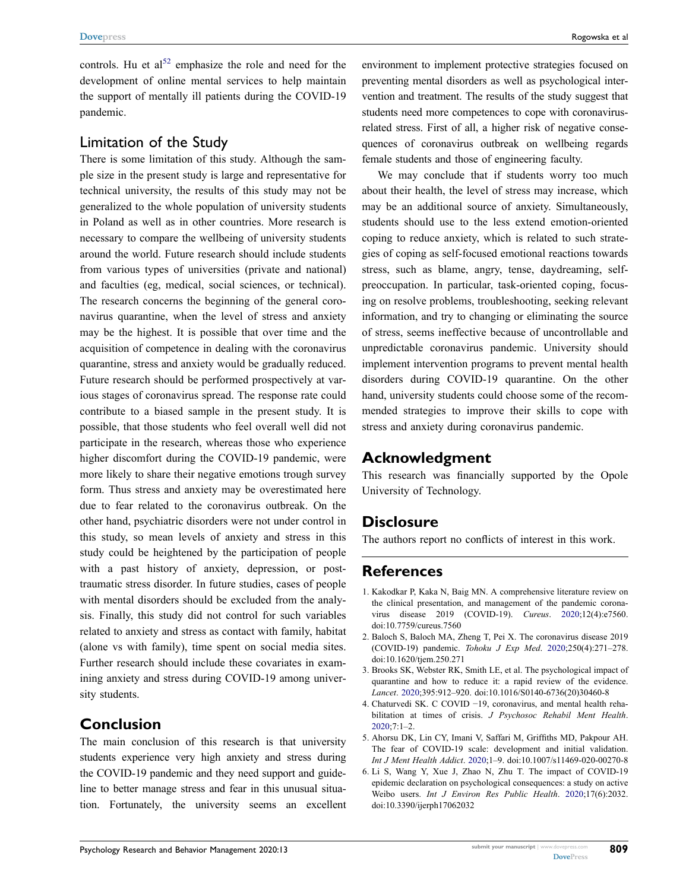<span id="page-12-6"></span>controls. Hu et  $al<sup>52</sup>$  $al<sup>52</sup>$  $al<sup>52</sup>$  emphasize the role and need for the development of online mental services to help maintain the support of mentally ill patients during the COVID-19 pandemic.

### Limitation of the Study

There is some limitation of this study. Although the sample size in the present study is large and representative for technical university, the results of this study may not be generalized to the whole population of university students in Poland as well as in other countries. More research is necessary to compare the wellbeing of university students around the world. Future research should include students from various types of universities (private and national) and faculties (eg, medical, social sciences, or technical). The research concerns the beginning of the general coronavirus quarantine, when the level of stress and anxiety may be the highest. It is possible that over time and the acquisition of competence in dealing with the coronavirus quarantine, stress and anxiety would be gradually reduced. Future research should be performed prospectively at various stages of coronavirus spread. The response rate could contribute to a biased sample in the present study. It is possible, that those students who feel overall well did not participate in the research, whereas those who experience higher discomfort during the COVID-19 pandemic, were more likely to share their negative emotions trough survey form. Thus stress and anxiety may be overestimated here due to fear related to the coronavirus outbreak. On the other hand, psychiatric disorders were not under control in this study, so mean levels of anxiety and stress in this study could be heightened by the participation of people with a past history of anxiety, depression, or posttraumatic stress disorder. In future studies, cases of people with mental disorders should be excluded from the analysis. Finally, this study did not control for such variables related to anxiety and stress as contact with family, habitat (alone vs with family), time spent on social media sites. Further research should include these covariates in examining anxiety and stress during COVID-19 among university students.

# **Conclusion**

The main conclusion of this research is that university students experience very high anxiety and stress during the COVID-19 pandemic and they need support and guideline to better manage stress and fear in this unusual situation. Fortunately, the university seems an excellent environment to implement protective strategies focused on preventing mental disorders as well as psychological intervention and treatment. The results of the study suggest that students need more competences to cope with coronavirusrelated stress. First of all, a higher risk of negative consequences of coronavirus outbreak on wellbeing regards female students and those of engineering faculty.

We may conclude that if students worry too much about their health, the level of stress may increase, which may be an additional source of anxiety. Simultaneously, students should use to the less extend emotion-oriented coping to reduce anxiety, which is related to such strategies of coping as self-focused emotional reactions towards stress, such as blame, angry, tense, daydreaming, selfpreoccupation. In particular, task-oriented coping, focusing on resolve problems, troubleshooting, seeking relevant information, and try to changing or eliminating the source of stress, seems ineffective because of uncontrollable and unpredictable coronavirus pandemic. University should implement intervention programs to prevent mental health disorders during COVID-19 quarantine. On the other hand, university students could choose some of the recommended strategies to improve their skills to cope with stress and anxiety during coronavirus pandemic.

# **Acknowledgment**

This research was financially supported by the Opole University of Technology.

# **Disclosure**

The authors report no conflicts of interest in this work.

# **References**

- <span id="page-12-0"></span>1. Kakodkar P, Kaka N, Baig MN. A comprehensive literature review on the clinical presentation, and management of the pandemic coronavirus disease 2019 (COVID-19). *Cureus*. [2020](#page-0-2);12(4):e7560. doi:[10.7759/cureus.7560](https://doi.org/10.7759/cureus.7560)
- <span id="page-12-1"></span>2. Baloch S, Baloch MA, Zheng T, Pei X. The coronavirus disease 2019 (COVID-19) pandemic. *Tohoku J Exp Med*. [2020;](#page-0-3)250(4):271–278. doi:[10.1620/tjem.250.271](https://doi.org/10.1620/tjem.250.271)
- <span id="page-12-2"></span>3. Brooks SK, Webster RK, Smith LE, et al. The psychological impact of quarantine and how to reduce it: a rapid review of the evidence. *Lancet*. [2020;](#page-1-0)395:912–920. doi:[10.1016/S0140-6736\(20\)30460-8](https://doi.org/10.1016/S0140-6736(20)30460-8)
- <span id="page-12-3"></span>4. Chaturvedi SK. C COVID −19, coronavirus, and mental health rehabilitation at times of crisis. *J Psychosoc Rehabil Ment Health*. [2020](#page-1-1);7:1–2.
- <span id="page-12-4"></span>5. Ahorsu DK, Lin CY, Imani V, Saffari M, Griffiths MD, Pakpour AH. The fear of COVID-19 scale: development and initial validation. *Int J Ment Health Addict*. [2020](#page-1-1);1–9. doi:[10.1007/s11469-020-00270-8](https://doi.org/10.1007/s11469-020-00270-8)
- <span id="page-12-5"></span>6. Li S, Wang Y, Xue J, Zhao N, Zhu T. The impact of COVID-19 epidemic declaration on psychological consequences: a study on active Weibo users. *Int J Environ Res Public Health*. [2020;](#page-1-2)17(6):2032. doi:[10.3390/ijerph17062032](https://doi.org/10.3390/ijerph17062032)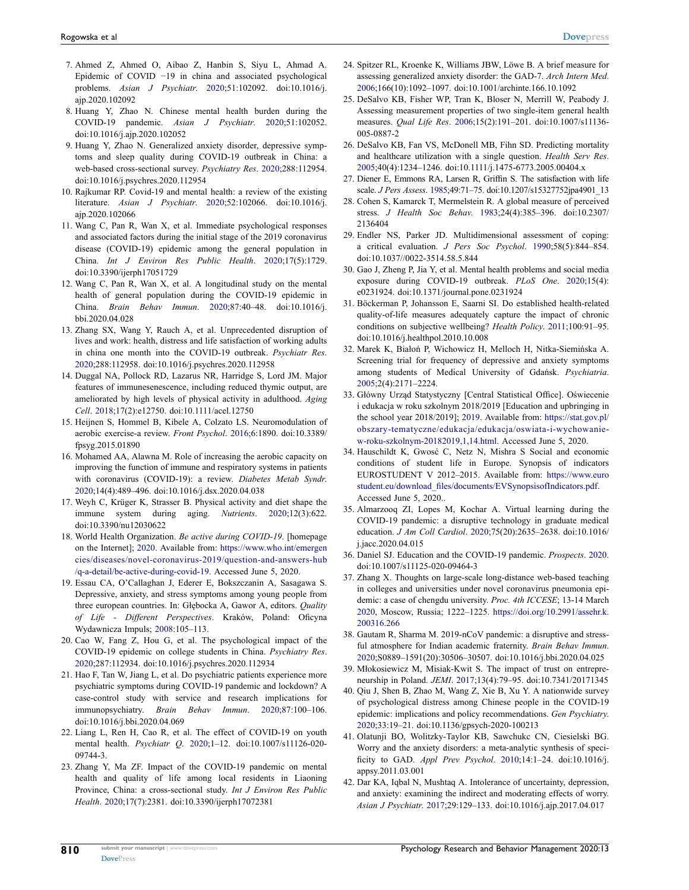- <span id="page-13-0"></span>7. Ahmed Z, Ahmed O, Aibao Z, Hanbin S, Siyu L, Ahmad A. Epidemic of COVID −19 in china and associated psychological problems. *Asian J Psychiatr*. [2020;](#page-1-3)51:102092. doi:[10.1016/j.](https://doi.org/10.1016/j.ajp.2020.102092)  [ajp.2020.102092](https://doi.org/10.1016/j.ajp.2020.102092)
- 8. Huang Y, Zhao N. Chinese mental health burden during the COVID-19 pandemic. *Asian J Psychiatr*. 2020;51:102052. doi:[10.1016/j.ajp.2020.102052](https://doi.org/10.1016/j.ajp.2020.102052)
- <span id="page-13-3"></span>9. Huang Y, Zhao N. Generalized anxiety disorder, depressive symptoms and sleep quality during COVID-19 outbreak in China: a web-based cross-sectional survey. *Psychiatry Res*. [2020](#page-1-3);288:112954. doi:[10.1016/j.psychres.2020.112954](https://doi.org/10.1016/j.psychres.2020.112954)
- 10. Rajkumar RP. Covid-19 and mental health: a review of the existing literature. *Asian J Psychiatr*. 2020;52:102066. doi:[10.1016/j.](https://doi.org/10.1016/j.ajp.2020.102066)  [ajp.2020.102066](https://doi.org/10.1016/j.ajp.2020.102066)
- <span id="page-13-2"></span>11. Wang C, Pan R, Wan X, et al. Immediate psychological responses and associated factors during the initial stage of the 2019 coronavirus disease (COVID-19) epidemic among the general population in China. *Int J Environ Res Public Health*. [2020;](#page-1-4)17(5):1729. doi:[10.3390/ijerph17051729](https://doi.org/10.3390/ijerph17051729)
- 12. Wang C, Pan R, Wan X, et al. A longitudinal study on the mental health of general population during the COVID-19 epidemic in China. *Brain Behav Immun*. 2020;87:40–48. doi:[10.1016/j.](https://doi.org/10.1016/j.bbi.2020.04.028)  [bbi.2020.04.028](https://doi.org/10.1016/j.bbi.2020.04.028)
- <span id="page-13-1"></span>13. Zhang SX, Wang Y, Rauch A, et al. Unprecedented disruption of lives and work: health, distress and life satisfaction of working adults in china one month into the COVID-19 outbreak. *Psychiatr Res*. [2020;](#page-1-5)288:112958. doi:[10.1016/j.psychres.2020.112958](https://doi.org/10.1016/j.psychres.2020.112958)
- <span id="page-13-4"></span>14. Duggal NA, Pollock RD, Lazarus NR, Harridge S, Lord JM. Major features of immunesenescence, including reduced thymic output, are ameliorated by high levels of physical activity in adulthood. *Aging Cell*. [2018;](#page-1-6)17(2):e12750. doi:[10.1111/acel.12750](https://doi.org/10.1111/acel.12750)
- <span id="page-13-30"></span>15. Heijnen S, Hommel B, Kibele A, Colzato LS. Neuromodulation of aerobic exercise-a review. *Front Psychol*. [2016;](#page-10-0)6:1890. doi:[10.3389/](https://doi.org/10.3389/fpsyg.2015.01890)  [fpsyg.2015.01890](https://doi.org/10.3389/fpsyg.2015.01890)
- <span id="page-13-6"></span>16. Mohamed AA, Alawna M. Role of increasing the aerobic capacity on improving the function of immune and respiratory systems in patients with coronavirus (COVID-19): a review. *Diabetes Metab Syndr*. [2020;](#page-1-7)14(4):489–496. doi:[10.1016/j.dsx.2020.04.038](https://doi.org/10.1016/j.dsx.2020.04.038)
- <span id="page-13-5"></span>17. Weyh C, Krüger K, Strasser B. Physical activity and diet shape the immune system during aging. *Nutrients*. [2020;](#page-1-6)12(3):622. doi:[10.3390/nu12030622](https://doi.org/10.3390/nu12030622)
- <span id="page-13-7"></span>18. World Health Organization. *Be active during COVID-19*. [homepage on the Internet]; [2020.](#page-1-5) Available from: [https://www.who.int/emergen](https://www.who.int/emergencies/diseases/novel-coronavirus-2019/question-and-answers-hub/q-a-detail/be-active-during-covid-19)  [cies/diseases/novel-coronavirus-2019/question-and-answers-hub](https://www.who.int/emergencies/diseases/novel-coronavirus-2019/question-and-answers-hub/q-a-detail/be-active-during-covid-19) [/q-a-detail/be-active-during-covid-19.](https://www.who.int/emergencies/diseases/novel-coronavirus-2019/question-and-answers-hub/q-a-detail/be-active-during-covid-19) Accessed June 5, 2020.
- <span id="page-13-8"></span>19. Essau CA, O'Callaghan J, Ederer E, Bokszczanin A, Sasagawa S. Depressive, anxiety, and stress symptoms among young people from three european countries. In: Głębocka A, Gawor A, editors. *Quality of Life - Different Perspectives*. Kraków, Poland: Oficyna Wydawnicza Impuls; [2008:](#page-1-8)105–113.
- <span id="page-13-9"></span>20. Cao W, Fang Z, Hou G, et al. The psychological impact of the COVID-19 epidemic on college students in China. *Psychiatry Res*. [2020;](#page-1-9)287:112934. doi:[10.1016/j.psychres.2020.112934](https://doi.org/10.1016/j.psychres.2020.112934)
- <span id="page-13-31"></span>21. Hao F, Tan W, Jiang L, et al. Do psychiatric patients experience more psychiatric symptoms during COVID-19 pandemic and lockdown? A case-control study with service and research implications for immunopsychiatry. *Brain Behav Immun*. [2020](#page-10-1);87:100–106. doi:[10.1016/j.bbi.2020.04.069](https://doi.org/10.1016/j.bbi.2020.04.069)
- <span id="page-13-18"></span>22. Liang L, Ren H, Cao R, et al. The effect of COVID-19 on youth mental health. *Psychiatr Q*. [2020;](#page-8-1)1–12. doi:[10.1007/s11126-020-](https://doi.org/10.1007/s11126-020-09744-3)  [09744-3](https://doi.org/10.1007/s11126-020-09744-3).
- <span id="page-13-10"></span>23. Zhang Y, Ma ZF. Impact of the COVID-19 pandemic on mental health and quality of life among local residents in Liaoning Province, China: a cross-sectional study. *Int J Environ Res Public Health*. [2020](#page-2-0);17(7):2381. doi:[10.3390/ijerph17072381](https://doi.org/10.3390/ijerph17072381)
- <span id="page-13-11"></span>24. Spitzer RL, Kroenke K, Williams JBW, Löwe B. A brief measure for assessing generalized anxiety disorder: the GAD-7. *Arch Intern Med*. [2006](#page-3-1);166(10):1092–1097. doi:[10.1001/archinte.166.10.1092](https://doi.org/10.1001/archinte.166.10.1092)
- <span id="page-13-12"></span>25. DeSalvo KB, Fisher WP, Tran K, Bloser N, Merrill W, Peabody J. Assessing measurement properties of two single-item general health measures. *Qual Life Res*. [2006](#page-3-2);15(2):191–201. doi:[10.1007/s11136-](https://doi.org/10.1007/s11136-005-0887-2) [005-0887-2](https://doi.org/10.1007/s11136-005-0887-2)
- <span id="page-13-13"></span>26. DeSalvo KB, Fan VS, McDonell MB, Fihn SD. Predicting mortality and healthcare utilization with a single question. *Health Serv Res*. [2005](#page-3-3);40(4):1234–1246. doi:[10.1111/j.1475-6773.2005.00404.x](https://doi.org/10.1111/j.1475-6773.2005.00404.x)
- <span id="page-13-14"></span>27. Diener E, Emmons RA, Larsen R, Griffin S. The satisfaction with life scale. *J Pers Assess*. [1985;](#page-4-0)49:71–75. doi:[10.1207/s15327752jpa4901\\_13](https://doi.org/10.1207/s15327752jpa4901_13)
- <span id="page-13-15"></span>28. Cohen S, Kamarck T, Mermelstein R. A global measure of perceived stress. *J Health Soc Behav*. [1983;](#page-4-1)24(4):385–396. doi:[10.2307/](https://doi.org/10.2307/2136404) [2136404](https://doi.org/10.2307/2136404)
- <span id="page-13-16"></span>29. Endler NS, Parker JD. Multidimensional assessment of coping: a critical evaluation. *J Pers Soc Psychol*. [1990;](#page-4-2)58(5):844–854. doi:[10.1037//0022-3514.58.5.844](https://doi.org/10.1037//0022-3514.58.5.844)
- <span id="page-13-17"></span>30. Gao J, Zheng P, Jia Y, et al. Mental health problems and social media exposure during COVID-19 outbreak. *PLoS One*. [2020;](#page-7-2)15(4): e0231924. doi:[10.1371/journal.pone.0231924](https://doi.org/10.1371/journal.pone.0231924)
- <span id="page-13-19"></span>31. Böckerman P, Johansson E, Saarni SI. Do established health-related quality-of-life measures adequately capture the impact of chronic conditions on subjective wellbeing? *Health Policy*. [2011;](#page-8-2)100:91–95. doi:[10.1016/j.healthpol.2010.10.008](https://doi.org/10.1016/j.healthpol.2010.10.008)
- <span id="page-13-20"></span>32. Marek K, Białoń P, Wichowicz H, Melloch H, Nitka-Siemińska A. Screening trial for frequency of depressive and anxiety symptoms among students of Medical University of Gdańsk. *Psychiatria*. [2005](#page-8-3);2(4):2171–2224.
- <span id="page-13-21"></span>33. Główny Urząd Statystyczny [Central Statistical Office]. Oświecenie i edukacja w roku szkolnym 2018/2019 [Education and upbringing in the school year 2018/2019]; [2019.](#page-9-0) Available from: [https://stat.gov.pl/](https://stat.gov.pl/obszary-tematyczne/edukacja/edukacja/oswiata-i-wychowanie-w-roku-szkolnym-20182019,1,14.html) [obszary-tematyczne/edukacja/edukacja/oswiata-i-wychowanie](https://stat.gov.pl/obszary-tematyczne/edukacja/edukacja/oswiata-i-wychowanie-w-roku-szkolnym-20182019,1,14.html)[w-roku-szkolnym-20182019,1,14.html.](https://stat.gov.pl/obszary-tematyczne/edukacja/edukacja/oswiata-i-wychowanie-w-roku-szkolnym-20182019,1,14.html) Accessed June 5, 2020.
- <span id="page-13-22"></span>34. Hauschildt K, Gwosć C, Netz N, Mishra S Social and economic conditions of student life in Europe. Synopsis of indicators EUROSTUDENT V 2012–2015. Available from: [https://www.euro](https://www.eurostudent.eu/download_files/documents/EVSynopsisofIndicators.pdf) [student.eu/download\\_files/documents/EVSynopsisofIndicators.pdf](https://www.eurostudent.eu/download_files/documents/EVSynopsisofIndicators.pdf). Accessed June 5, 2020..
- <span id="page-13-23"></span>35. Almarzooq ZI, Lopes M, Kochar A. Virtual learning during the COVID-19 pandemic: a disruptive technology in graduate medical education. *J Am Coll Cardiol*. [2020](#page-9-1);75(20):2635–2638. doi:[10.1016/](https://doi.org/10.1016/j.jacc.2020.04.015) [j.jacc.2020.04.015](https://doi.org/10.1016/j.jacc.2020.04.015)
- <span id="page-13-24"></span>36. Daniel SJ. Education and the COVID-19 pandemic. *Prospects*. [2020](#page-9-1). doi:[10.1007/s11125-020-09464-3](https://doi.org/10.1007/s11125-020-09464-3)
- <span id="page-13-25"></span>37. Zhang X. Thoughts on large-scale long-distance web-based teaching in colleges and universities under novel coronavirus pneumonia epidemic: a case of chengdu university. *Proc. 4th ICCESE*; 13-14 March [2020](#page-9-2), Moscow, Russia; 1222–1225. [https://doi.org/10.2991/assehr.k.](https://doi.org/10.2991/assehr.k.200316.266) [200316.266](https://doi.org/10.2991/assehr.k.200316.266)
- <span id="page-13-26"></span>38. Gautam R, Sharma M. 2019-nCoV pandemic: a disruptive and stressful atmosphere for Indian academic fraternity. *Brain Behav Immun*. [2020](#page-9-2);S0889–1591(20):30506–30507. doi:[10.1016/j.bbi.2020.04.025](https://doi.org/10.1016/j.bbi.2020.04.025)
- <span id="page-13-27"></span>39. Młokosiewicz M, Misiak-Kwit S. The impact of trust on entrepreneurship in Poland. *JEMI*. [2017;](#page-9-3)13(4):79–95. doi:[10.7341/20171345](https://doi.org/10.7341/20171345)
- <span id="page-13-28"></span>40. Qiu J, Shen B, Zhao M, Wang Z, Xie B, Xu Y. A nationwide survey of psychological distress among Chinese people in the COVID-19 epidemic: implications and policy recommendations. *Gen Psychiatry*. [2020](#page-9-4);33:19–21. doi:[10.1136/gpsych-2020-100213](https://doi.org/10.1136/gpsych-2020-100213)
- <span id="page-13-29"></span>41. Olatunji BO, Wolitzky-Taylor KB, Sawchukc CN, Ciesielski BG. Worry and the anxiety disorders: a meta-analytic synthesis of specificity to GAD. *Appl Prev Psychol*. [2010](#page-9-5);14:1–24. doi:[10.1016/j.](https://doi.org/10.1016/j.appsy.2011.03.001) [appsy.2011.03.001](https://doi.org/10.1016/j.appsy.2011.03.001)
- <span id="page-13-32"></span>42. Dar KA, Iqbal N, Mushtaq A. Intolerance of uncertainty, depression, and anxiety: examining the indirect and moderating effects of worry. *Asian J Psychiatr*. [2017](#page-10-2);29:129–133. doi:[10.1016/j.ajp.2017.04.017](https://doi.org/10.1016/j.ajp.2017.04.017)